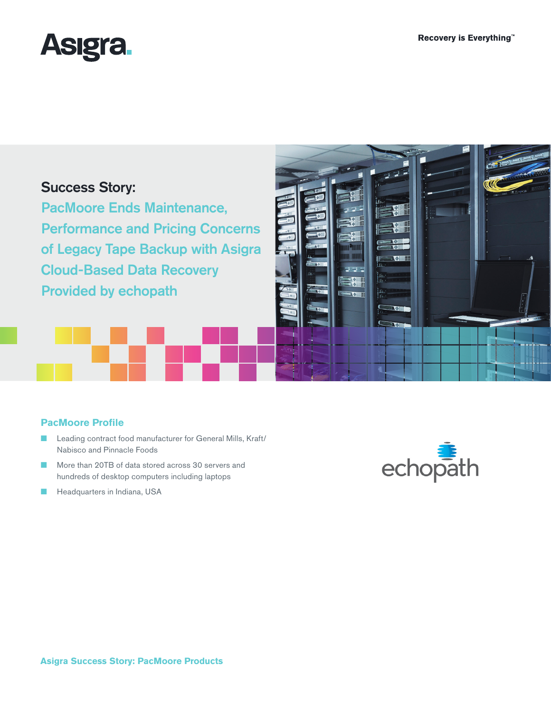

# Success Story:

PacMoore Ends Maintenance, Performance and Pricing Concerns of Legacy Tape Backup with Asigra Cloud-Based Data Recovery Provided by echopath



### **PacMoore Profile**

- Leading contract food manufacturer for General Mills, Kraft/ Nabisco and Pinnacle Foods
- More than 20TB of data stored across 30 servers and hundreds of desktop computers including laptops
- Headquarters in Indiana, USA

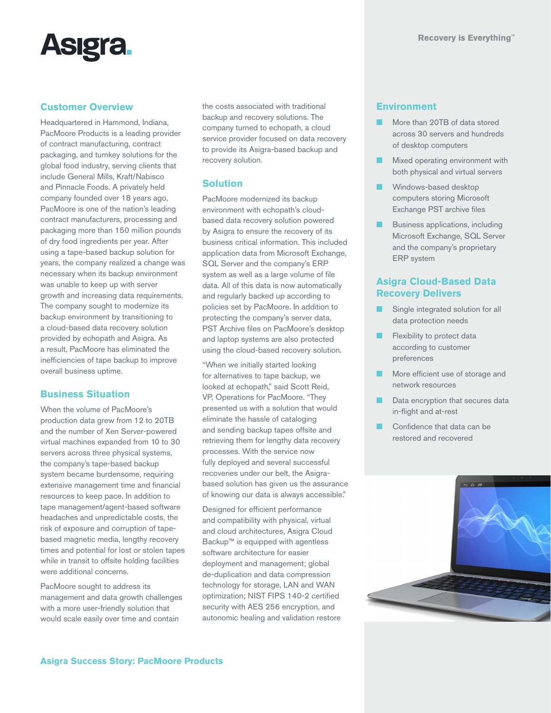

#### **Customer Overview**

Headquartered in Hammond, Indiana, PacMoore Products is a leading provider of contract manufacturing, contract packaging, and turnkey solutions for the global food industry, serving clients that include General Mills, Kraft/Nabisco and Pinnacle Foods. A privately held company founded over 18 years ago, PacMoore is one of the nation's leading contract manufacturers, processing and packaging more than 150 million pounds of dry food ingredients per year. After using a tape-based backup solution for years, the company realized a change was necessary when its backup environment was unable to keep up with server growth and increasing data requirements. The company sought to modernize its backup environment by transitioning to a cloud-based data recovery solution provided by echopath and Asigra. As a result, PacMoore has eliminated the inefficiencies of tape backup to improve overall business uptime.

### **Business Situation**

When the volume of PacMoore's production data grew from 12 to 20TB and the number of Xen Server-powered virtual machines expanded from 10 to 30 servers across three physical systems, the company's tape-based backup system became burdensome, requiring extensive management time and financial resources to keep pace. In addition to tape management/agent-based software headaches and unpredictable costs, the risk of exposure and corruption of tapebased magnetic media, lengthy recovery times and potential for lost or stolen tapes while in transit to offsite holding facilities were additional concerns.

PacMoore sought to address its management and data growth challenges with a more user-friendly solution that would scale easily over time and contain

the costs associated with traditional backup and recovery solutions. The company turned to echopath, a cloud service provider focused on data recovery to provide its Asigra-based backup and recovery solution.

#### **Solution**

PacMoore modernized its backup environment with echopath's cloudbased data recovery solution powered by Asigra to ensure the recovery of its business critical information. This included application data from Microsoft Exchange, SQL Server and the company's ERP system as well as a large volume of file data. All of this data is now automatically and regularly backed up according to policies set by PacMoore. In addition to protecting the company's server data, PST Archive files on PacMoore's desktop and laptop systems are also protected using the cloud-based recovery solution.

"When we initially started looking for alternatives to tape backup, we looked at echopath," said Scott Reid, VP, Operations for PacMoore. "They presented us with a solution that would eliminate the hassle of cataloging and sending backup tapes offsite and retrieving them for lengthy data recovery processes. With the service now fully deployed and several successful recoveries under our belt, the Asigrabased solution has given us the assurance of knowing our data is always accessible."

Designed for efficient performance and compatibility with physical, virtual and cloud architectures, Asigra Cloud Backup™ is equipped with agentless software architecture for easier deployment and management; global de-duplication and data compression technology for storage, LAN and WAN optimization; NIST FIPS 140-2 certified security with AES 256 encryption, and autonomic healing and validation restore

#### **Environment**

- More than 20TB of data stored across 30 servers and hundreds of desktop computers
- Mixed operating environment with both physical and virtual servers
- Windows-based desktop computers storing Microsoft Exchange PST archive files
- Business applications, including Microsoft Exchange, SQL Server and the company's proprietary ERP system

### **Asigra Cloud-Based Data Recovery Delivers**

- Single integrated solution for all data protection needs
- Flexibility to protect data according to customer preferences
- More efficient use of storage and network resources
- Data encryption that secures data in-flight and at-rest
- Confidence that data can be restored and recovered

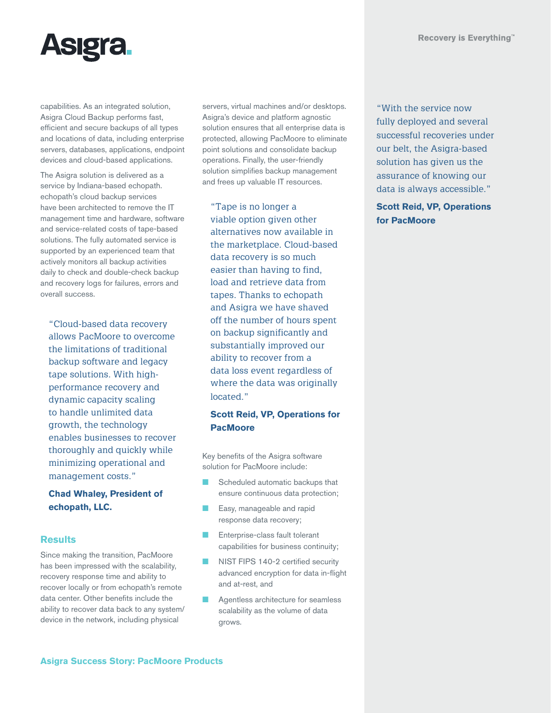

capabilities. As an integrated solution, Asigra Cloud Backup performs fast, efficient and secure backups of all types and locations of data, including enterprise servers, databases, applications, endpoint devices and cloud-based applications.

The Asigra solution is delivered as a service by Indiana-based echopath. echopath's cloud backup services have been architected to remove the IT management time and hardware, software and service-related costs of tape-based solutions. The fully automated service is supported by an experienced team that actively monitors all backup activities daily to check and double-check backup and recovery logs for failures, errors and overall success.

"Cloud-based data recovery allows PacMoore to overcome the limitations of traditional backup software and legacy tape solutions. With highperformance recovery and dynamic capacity scaling to handle unlimited data growth, the technology enables businesses to recover thoroughly and quickly while minimizing operational and management costs."

### **Chad Whaley, President of echopath, LLC.**

### **Results**

Since making the transition, PacMoore has been impressed with the scalability, recovery response time and ability to recover locally or from echopath's remote data center. Other benefits include the ability to recover data back to any system/ device in the network, including physical

servers, virtual machines and/or desktops. Asigra's device and platform agnostic solution ensures that all enterprise data is protected, allowing PacMoore to eliminate point solutions and consolidate backup operations. Finally, the user-friendly solution simplifies backup management and frees up valuable IT resources.

"Tape is no longer a viable option given other alternatives now available in the marketplace. Cloud-based data recovery is so much easier than having to find, load and retrieve data from tapes. Thanks to echopath and Asigra we have shaved off the number of hours spent on backup significantly and substantially improved our ability to recover from a data loss event regardless of where the data was originally located."

## **Scott Reid, VP, Operations for PacMoore**

Key benefits of the Asigra software solution for PacMoore include:

- Scheduled automatic backups that ensure continuous data protection;
- Easy, manageable and rapid response data recovery;
- Enterprise-class fault tolerant capabilities for business continuity;
- NIST FIPS 140-2 certified security advanced encryption for data in-flight and at-rest, and
- Agentless architecture for seamless scalability as the volume of data grows.

"With the service now fully deployed and several successful recoveries under our belt, the Asigra-based solution has given us the assurance of knowing our data is always accessible."

### **Scott Reid, VP, Operations for PacMoore**